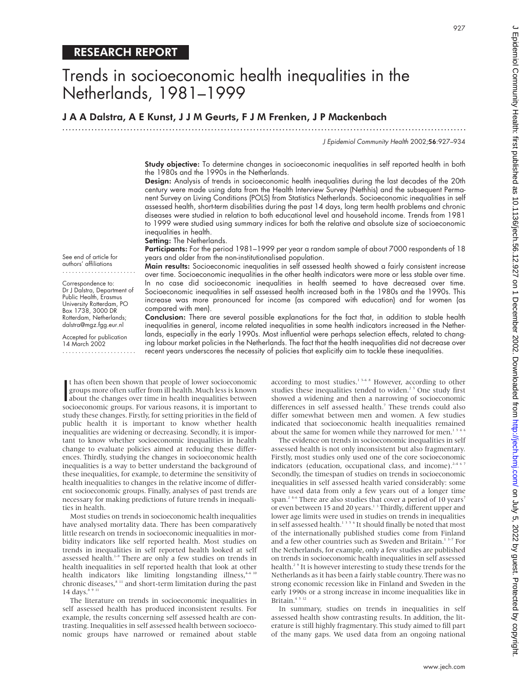# Trends in socioeconomic health inequalities in the Netherlands, 1981–1999

.............................................................................................................................

J A A Dalstra, A E Kunst,JJM Geurts,FJM Frenken, J P Mackenbach

J Epidemiol Community Health 2002;56:927–934

Study objective: To determine changes in socioeconomic inequalities in self reported health in both the 1980s and the 1990s in the Netherlands.

Design: Analysis of trends in socioeconomic health inequalities during the last decades of the 20th century were made using data from the Health Interview Survey (Nethhis) and the subsequent Permanent Survey on Living Conditions (POLS) from Statistics Netherlands. Socioeconomic inequalities in self assessed health, short-term disabilities during the past 14 days, long term health problems and chronic diseases were studied in relation to both educational level and household income. Trends from 1981 to 1999 were studied using summary indices for both the relative and absolute size of socioeconomic inequalities in health.

Setting: The Netherlands.

Participants: For the period 1981–1999 per year a random sample of about 7000 respondents of 18 years and older from the non-institutionalised population.

See end of article for authors' affiliations .......................

Correspondence to: Dr J Dalstra, Department of Public Health, Erasmus University Rotterdam, PO Box 1738, 3000 DR Rotterdam, Netherlands; dalstra@mgz.fgg.eur.nl

Accepted for publication 14 March 2002 ....................... Main results: Socioeconomic inequalities in self assessed health showed a fairly consistent increase over time. Socioeconomic inequalities in the other health indicators were more or less stable over time. In no case did socioeconomic inequalities in health seemed to have decreased over time. Socioeconomic inequalities in self assessed health increased both in the 1980s and the 1990s. This increase was more pronounced for income (as compared with education) and for women (as compared with men).

Conclusion: There are several possible explanations for the fact that, in addition to stable health inequalities in general, income related inequalities in some health indicators increased in the Netherlands, especially in the early 1990s. Most influential were perhaps selection effects, related to changing labour market policies in the Netherlands. The fact that the health inequalities did not decrease over recent years underscores the necessity of policies that explicitly aim to tackle these inequalities.

I has often been shown that people of lower socioeconomic<br>groups more often suffer from ill health. Much less is known<br>about the changes over time in health inequalities between<br>socioeconomic groups. For various reasons, i t has often been shown that people of lower socioeconomic groups more often suffer from ill health. Much less is known socioeconomic groups. For various reasons, it is important to study these changes. Firstly, for setting priorities in the field of public health it is important to know whether health inequalities are widening or decreasing. Secondly, it is important to know whether socioeconomic inequalities in health change to evaluate policies aimed at reducing these differences. Thirdly, studying the changes in socioeconomic health inequalities is a way to better understand the background of these inequalities, for example, to determine the sensitivity of health inequalities to changes in the relative income of different socioeconomic groups. Finally, analyses of past trends are necessary for making predictions of future trends in inequalities in health.

Most studies on trends in socioeconomic health inequalities have analysed mortality data. There has been comparatively little research on trends in socioeconomic inequalities in morbidity indicators like self reported health. Most studies on trends in inequalities in self reported health looked at self assessed health.<sup>1-9</sup> There are only a few studies on trends in health inequalities in self reported health that look at other health indicators like limiting longstanding illness, $4-6$  10 chronic diseases,  $^{\mathrm{s}$   $\scriptstyle\rm II}$  and short-term limitation during the past 14 days.<sup>8 9 1</sup>

The literature on trends in socioeconomic inequalities in self assessed health has produced inconsistent results. For example, the results concerning self assessed health are contrasting. Inequalities in self assessed health between socioeconomic groups have narrowed or remained about stable according to most studies.<sup>1 3–6</sup> 8 However, according to other studies these inequalities tended to widen.<sup>25</sup> One study first showed a widening and then a narrowing of socioeconomic differences in self assessed health.<sup>7</sup> These trends could also differ somewhat between men and women. A few studies indicated that socioeconomic health inequalities remained about the same for women while they narrowed for men.<sup>1346</sup>

The evidence on trends in socioeconomic inequalities in self assessed health is not only inconsistent but also fragmentary. Firstly, most studies only used one of the core socioeconomic indicators (education, occupational class, and income). $246$ Secondly, the timespan of studies on trends in socioeconomic inequalities in self assessed health varied considerably: some have used data from only a few years out of a longer time span.<sup>2 4-6</sup> There are also studies that cover a period of 10 years<sup>7</sup> or even between 15 and 20 years.<sup>13</sup> Thirdly, different upper and lower age limits were used in studies on trends in inequalities in self assessed health.<sup>1356</sup> It should finally be noted that most of the internationally published studies come from Finland and a few other countries such as Sweden and Britain.<sup>1 3-7</sup> For the Netherlands, for example, only a few studies are published on trends in socioeconomic health inequalities in self assessed health.<sup>2</sup> <sup>9</sup> It is however interesting to study these trends for the Netherlands as it has been a fairly stable country. There was no strong economic recession like in Finland and Sweden in the early 1990s or a strong increase in income inequalities like in Britain.<sup>4 5 12</sup>

In summary, studies on trends in inequalities in self assessed health show contrasting results. In addition, the literature is still highly fragmentary. This study aimed to fill part of the many gaps. We used data from an ongoing national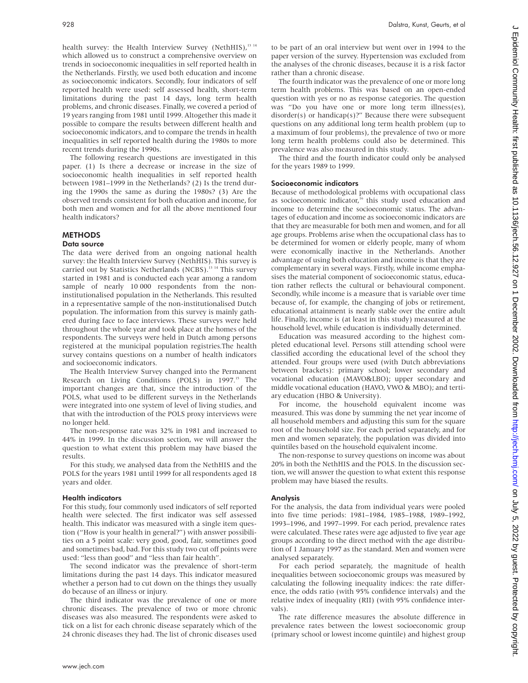health survey: the Health Interview Survey (NethHIS),<sup>13 14</sup> which allowed us to construct a comprehensive overview on trends in socioeconomic inequalities in self reported health in the Netherlands. Firstly, we used both education and income as socioeconomic indicators. Secondly, four indicators of self reported health were used: self assessed health, short-term limitations during the past 14 days, long term health problems, and chronic diseases. Finally, we covered a period of 19 years ranging from 1981 until 1999. Altogether this made it possible to compare the results between different health and socioeconomic indicators, and to compare the trends in health inequalities in self reported health during the 1980s to more recent trends during the 1990s.

The following research questions are investigated in this paper. (1) Is there a decrease or increase in the size of socioeconomic health inequalities in self reported health between 1981–1999 in the Netherlands? (2) Is the trend during the 1990s the same as during the 1980s? (3) Are the observed trends consistent for both education and income, for both men and women and for all the above mentioned four health indicators?

# **METHODS**

## Data source

The data were derived from an ongoing national health survey: the Health Interview Survey (NethHIS). This survey is carried out by Statistics Netherlands (NCBS).<sup>13 14</sup> This survey started in 1981 and is conducted each year among a random sample of nearly 10 000 respondents from the noninstitutionalised population in the Netherlands. This resulted in a representative sample of the non-institutionalised Dutch population. The information from this survey is mainly gathered during face to face interviews. These surveys were held throughout the whole year and took place at the homes of the respondents. The surveys were held in Dutch among persons registered at the municipal population registries.The health survey contains questions on a number of health indicators and socioeconomic indicators.

The Health Interview Survey changed into the Permanent Research on Living Conditions (POLS) in 1997.<sup>15</sup> The important changes are that, since the introduction of the POLS, what used to be different surveys in the Netherlands were integrated into one system of level of living studies, and that with the introduction of the POLS proxy interviews were no longer held.

The non-response rate was 32% in 1981 and increased to 44% in 1999. In the discussion section, we will answer the question to what extent this problem may have biased the results.

For this study, we analysed data from the NethHIS and the POLS for the years 1981 until 1999 for all respondents aged 18 years and older.

#### Health indicators

For this study, four commonly used indicators of self reported health were selected. The first indicator was self assessed health. This indicator was measured with a single item question ("How is your health in general?") with answer possibilities on a 5 point scale: very good, good, fair, sometimes good and sometimes bad, bad. For this study two cut off points were used: "less than good" and "less than fair health".

The second indicator was the prevalence of short-term limitations during the past 14 days. This indicator measured whether a person had to cut down on the things they usually do because of an illness or injury.

The third indicator was the prevalence of one or more chronic diseases. The prevalence of two or more chronic diseases was also measured. The respondents were asked to tick on a list for each chronic disease separately which of the 24 chronic diseases they had. The list of chronic diseases used

J Epidemiol Comnunity Health: first published as 10.11136/jech.56.12.927 on 1 December 2002. Downloaded from http://jech.bmj.com/ on July 5, 2022 by guest. Protected by copyright on July 5, 2022 by guest. Protected by copyright. <http://jech.bmj.com/> J Epidemiol Community Health: first published as 10.1136/jech.56.12.927 on 1 December 2002. Downloaded from

to be part of an oral interview but went over in 1994 to the paper version of the survey. Hypertension was excluded from the analyses of the chronic diseases, because it is a risk factor rather than a chronic disease.

The fourth indicator was the prevalence of one or more long term health problems. This was based on an open-ended question with yes or no as response categories. The question was "Do you have one or more long term illness(es), disorder(s) or handicap(s)?" Because there were subsequent questions on any additional long term health problem (up to a maximum of four problems), the prevalence of two or more long term health problems could also be determined. This prevalence was also measured in this study.

The third and the fourth indicator could only be analysed for the years 1989 to 1999.

#### Socioeconomic indicators

Because of methodological problems with occupational class as socioeconomic indicator,<sup>16</sup> this study used education and income to determine the socioeconomic status. The advantages of education and income as socioeconomic indicators are that they are measurable for both men and women, and for all age groups. Problems arise when the occupational class has to be determined for women or elderly people, many of whom were economically inactive in the Netherlands. Another advantage of using both education and income is that they are complementary in several ways. Firstly, while income emphasises the material component of socioeconomic status, education rather reflects the cultural or behavioural component. Secondly, while income is a measure that is variable over time because of, for example, the changing of jobs or retirement, educational attainment is nearly stable over the entire adult life. Finally, income is (at least in this study) measured at the household level, while education is individually determined.

Education was measured according to the highest completed educational level. Persons still attending school were classified according the educational level of the school they attended. Four groups were used (with Dutch abbreviations between brackets): primary school; lower secondary and vocational education (MAVO&LBO); upper secondary and middle vocational education (HAVO, VWO & MBO); and tertiary education (HBO & University).

For income, the household equivalent income was measured. This was done by summing the net year income of all household members and adjusting this sum for the square root of the household size. For each period separately, and for men and women separately, the population was divided into quintiles based on the household equivalent income.

The non-response to survey questions on income was about 20% in both the NethHIS and the POLS. In the discussion section, we will answer the question to what extent this response problem may have biased the results.

## Analysis

For the analysis, the data from individual years were pooled into five time periods: 1981–1984, 1985–1988, 1989–1992, 1993–1996, and 1997–1999. For each period, prevalence rates were calculated. These rates were age adjusted to five year age groups according to the direct method with the age distribution of 1 January 1997 as the standard. Men and women were analysed separately.

For each period separately, the magnitude of health inequalities between socioeconomic groups was measured by calculating the following inequality indices: the rate difference, the odds ratio (with 95% confidence intervals) and the relative index of inequality (RII) (with 95% confidence intervals).

The rate difference measures the absolute difference in prevalence rates between the lowest socioeconomic group (primary school or lowest income quintile) and highest group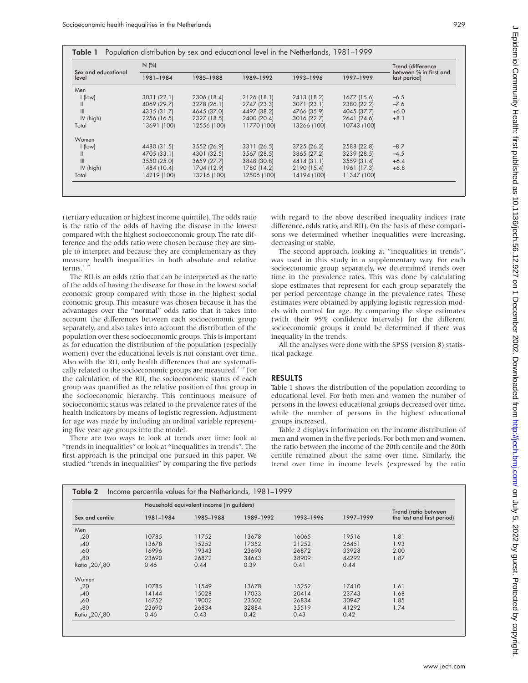|  |  | Table 1 Population distribution by sex and educational level in the Netherlands, 1981-1999 |  |
|--|--|--------------------------------------------------------------------------------------------|--|
|--|--|--------------------------------------------------------------------------------------------|--|

|                              | N(%)        | Trend (difference |             |             |             |                                        |
|------------------------------|-------------|-------------------|-------------|-------------|-------------|----------------------------------------|
| Sex and educational<br>level | 1981-1984   | 1985-1988         | 1989-1992   | 1993-1996   | 1997-1999   | between % in first and<br>last period) |
| Men                          |             |                   |             |             |             |                                        |
| $ $ (low)                    | 3031(22.1)  | 2306 (18.4)       | 2126 (18.1) | 2413 (18.2) | 1677 (15.6) | $-6.5$                                 |
| Ш                            | 4069 (29.7) | 3278(26.1)        | 2747 (23.3) | 3071(23.1)  | 2380 (22.2) | $-7.6$                                 |
| III                          | 4335 (31.7) | 4645 (37.0)       | 4497 (38.2) | 4766 (35.9) | 4045 (37.7) | $+6.0$                                 |
| IV (high)                    | 2256 (16.5) | 2327 (18.5)       | 2400 (20.4) | 3016 (22.7) | 2641 (24.6) | $+8.1$                                 |
| Total                        | 13691 (100) | 12556 (100)       | 11770 (100) | 13266 (100) | 10743 (100) |                                        |
| Women                        |             |                   |             |             |             |                                        |
| $ $ (low)                    | 4480 (31.5) | 3552 (26.9)       | 3311 (26.5) | 3725 (26.2) | 2588 (22.8) | $-8.7$                                 |
| $\mathbf{II}$                | 4705 (33.1) | 4301 (32.5)       | 3567 (28.5) | 3865 (27.2) | 3239 (28.5) | $-4.5$                                 |
| III                          | 3550 (25.0) | 3659 (27.7)       | 3848 (30.8) | 4414 (31.1) | 3559 (31.4) | $+6.4$                                 |
| IV (high)                    | 1484 (10.4) | 1704 (12.9)       | 1780 (14.2) | 2190 (15.4) | 1961 (17.3) | $+6.8$                                 |
| Total                        | 14219 (100) | 13216 (100)       | 12506 (100) | 14194 (100) | 11347 (100) |                                        |

(tertiary education or highest income quintile). The odds ratio is the ratio of the odds of having the disease in the lowest compared with the highest socioeconomic group. The rate difference and the odds ratio were chosen because they are simple to interpret and because they are complementary as they measure health inequalities in both absolute and relative terms. $2<sup>1</sup>$ 

The RII is an odds ratio that can be interpreted as the ratio of the odds of having the disease for those in the lowest social economic group compared with those in the highest social economic group. This measure was chosen because it has the advantages over the "normal" odds ratio that it takes into account the differences between each socioeconomic group separately, and also takes into account the distribution of the population over these socioeconomic groups. This is important as for education the distribution of the population (especially women) over the educational levels is not constant over time. Also with the RII, only health differences that are systematically related to the socioeconomic groups are measured.<sup>2 17</sup> For the calculation of the RII, the socioeconomic status of each group was quantified as the relative position of that group in the socioeconomic hierarchy. This continuous measure of socioeconomic status was related to the prevalence rates of the health indicators by means of logistic regression. Adjustment for age was made by including an ordinal variable representing five year age groups into the model.

There are two ways to look at trends over time: look at "trends in inequalities" or look at "inequalities in trends". The first approach is the principal one pursued in this paper. We studied "trends in inequalities" by comparing the five periods

with regard to the above described inequality indices (rate difference, odds ratio, and RII). On the basis of these comparisons we determined whether inequalities were increasing, decreasing or stable.

The second approach, looking at "inequalities in trends", was used in this study in a supplementary way. For each socioeconomic group separately, we determined trends over time in the prevalence rates. This was done by calculating slope estimates that represent for each group separately the per period percentage change in the prevalence rates. These estimates were obtained by applying logistic regression models with control for age. By comparing the slope estimates (with their 95% confidence intervals) for the different socioeconomic groups it could be determined if there was inequality in the trends.

All the analyses were done with the SPSS (version 8) statistical package.

# RESULTS

Table 1 shows the distribution of the population according to educational level. For both men and women the number of persons in the lowest educational groups decreased over time, while the number of persons in the highest educational groups increased.

Table 2 displays information on the income distribution of men and women in the five periods. For both men and women, the ratio between the income of the 20th centile and the 80th centile remained about the same over time. Similarly, the trend over time in income levels (expressed by the ratio

|                           |           | Household equivalent income (in guilders) |           |           |           |                                                    |  |  |
|---------------------------|-----------|-------------------------------------------|-----------|-----------|-----------|----------------------------------------------------|--|--|
| Sex and centile           | 1981-1984 | 1985-1988                                 | 1989-1992 | 1993-1996 | 1997-1999 | Trend (ratio between<br>the last and first period) |  |  |
| Men                       |           |                                           |           |           |           |                                                    |  |  |
| 20                        | 10785     | 11752                                     | 13678     | 16065     | 19516     | 1.81                                               |  |  |
| A0                        | 13678     | 15252                                     | 17352     | 21252     | 26451     | 1.93                                               |  |  |
| <sub>p</sub> 60           | 16996     | 19343                                     | 23690     | 26872     | 33928     | 2.00                                               |  |  |
| 80 <sub>q</sub>           | 23690     | 26872                                     | 34643     | 38909     | 44292     | 1.87                                               |  |  |
| Ratio 20/80               | 0.46      | 0.44                                      | 0.39      | 0.41      | 0.44      |                                                    |  |  |
| Women                     |           |                                           |           |           |           |                                                    |  |  |
| 20                        | 10785     | 11549                                     | 13678     | 15252     | 17410     | 1.61                                               |  |  |
| .40                       | 14144     | 15028                                     | 17033     | 20414     | 23743     | 1.68                                               |  |  |
| ,60                       | 16752     | 19002                                     | 23502     | 26834     | 30947     | 1.85                                               |  |  |
| 08 <sub>q</sub>           | 23690     | 26834                                     | 32884     | 35519     | 41292     | 1.74                                               |  |  |
| Ratio 20/ <sub>0</sub> 80 | 0.46      | 0.43                                      | 0.42      | 0.43      | 0.42      |                                                    |  |  |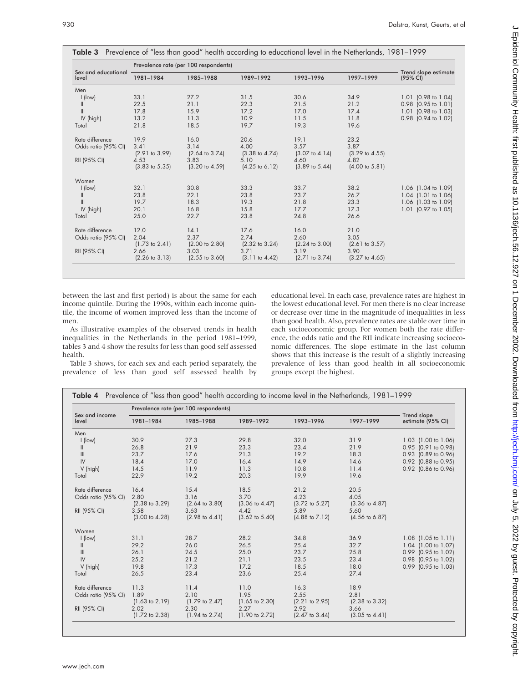|                              | Prevalence rate (per 100 respondents) |                                   |                                   |                                   |                                   |                                  |
|------------------------------|---------------------------------------|-----------------------------------|-----------------------------------|-----------------------------------|-----------------------------------|----------------------------------|
| Sex and educational<br>level | 1981-1984                             | 1985-1988                         | 1989-1992                         | 1993-1996                         | 1997-1999                         | Trend slope estimate<br>(95% CI) |
| Men                          |                                       |                                   |                                   |                                   |                                   |                                  |
| $ $ (low)                    | 33.1                                  | 27.2                              | 31.5                              | 30.6                              | 34.9                              | 1.01 (0.98 to 1.04)              |
| $\mathsf{I}$                 | 22.5                                  | 21.1                              | 22.3                              | 21.5                              | 21.2                              | 0.98 (0.95 to 1.01)              |
| $\mathbf{III}$               | 17.8                                  | 15.9                              | 17.2                              | 17.0                              | 17.4                              | 1.01 (0.98 to 1.03)              |
| IV (high)                    | 13.2                                  | 11.3                              | 10.9                              | 11.5                              | 11.8                              | 0.98 (0.94 to 1.02)              |
| Total                        | 21.8                                  | 18.5                              | 19.7                              | 19.3                              | 19.6                              |                                  |
| Rate difference              | 19.9                                  | 16.0                              | 20.6                              | 19.1                              | 23.2                              |                                  |
| Odds ratio (95% CI)          | 3.41<br>(2.91 to 3.99)                | 3.14<br>$(2.64 \text{ to } 3.74)$ | 4.00<br>$(3.38 \text{ to } 4.74)$ | 3.57<br>$(3.07)$ to $(4.14)$      | 3.87<br>$(3.29 \text{ to } 4.55)$ |                                  |
| RII (95% CI)                 | 4.53<br>$(3.83 \text{ to } 5.35)$     | 3.83<br>$(3.20 \text{ to } 4.59)$ | 5.10<br>$(4.25 \text{ to } 6.12)$ | 4.60<br>$(3.89 \text{ to } 5.44)$ | 4.82<br>$(4.00 \text{ to } 5.81)$ |                                  |
| Women                        |                                       |                                   |                                   |                                   |                                   |                                  |
| $ $ (low)                    | 32.1                                  | 30.8                              | 33.3                              | 33.7                              | 38.2                              | 1.06 (1.04 to 1.09)              |
| $\mathbf{II}$                | 23.8                                  | 22.1                              | 23.8                              | 23.7                              | 26.7                              | 1.04 (1.01 to 1.06)              |
| $\mathbb{I}$                 | 19.7                                  | 18.3                              | 19.3                              | 21.8                              | 23.3                              | 1.06 (1.03 to 1.09)              |
| IV (high)                    | 20.1                                  | 16.8                              | 15.8                              | 17.7                              | 17.3                              | 1.01 $(0.97 \text{ to } 1.05)$   |
| Total                        | 25.0                                  | 22.7                              | 23.8                              | 24.8                              | 26.6                              |                                  |
| Rate difference              | 12.0                                  | 14.1                              | 17.6                              | 16.0                              | 21.0                              |                                  |
| Odds ratio (95% CI)          | 2.04<br>$(1.73 \text{ to } 2.41)$     | 2.37<br>$(2.00 \text{ to } 2.80)$ | 2.74<br>$(2.32 \text{ to } 3.24)$ | 2.60<br>$(2.24 \text{ to } 3.00)$ | 3.05<br>$(2.61 \text{ to } 3.57)$ |                                  |
| RII (95% CI)                 | 2.66<br>$(2.26 \text{ to } 3.13)$     | 3.03<br>$(2.55 \text{ to } 3.60)$ | 3.71<br>$(3.11)$ to $4.42$        | 3.19<br>$(2.71)$ to $3.74$        | 3.90<br>$(3.27 \text{ to } 4.65)$ |                                  |

between the last and first period) is about the same for each income quintile. During the 1990s, within each income quintile, the income of women improved less than the income of men.

As illustrative examples of the observed trends in health inequalities in the Netherlands in the period 1981–1999, tables 3 and 4 show the results for less than good self assessed health.

Table 3 shows, for each sex and each period separately, the prevalence of less than good self assessed health by educational level. In each case, prevalence rates are highest in the lowest educational level. For men there is no clear increase or decrease over time in the magnitude of inequalities in less than good health. Also, prevalence rates are stable over time in each socioeconomic group. For women both the rate difference, the odds ratio and the RII indicate increasing socioeconomic differences. The slope estimate in the last column shows that this increase is the result of a slightly increasing prevalence of less than good health in all socioeconomic groups except the highest.

|                         | Prevalence rate (per 100 respondents) |                                   |                                   |                                   |                                   |                                         |
|-------------------------|---------------------------------------|-----------------------------------|-----------------------------------|-----------------------------------|-----------------------------------|-----------------------------------------|
| Sex and income<br>level | 1981-1984                             | 1985-1988                         | 1989-1992                         | 1993-1996                         | 1997-1999                         | <b>Trend slope</b><br>estimate (95% CI) |
| Men                     |                                       |                                   |                                   |                                   |                                   |                                         |
| $ $ (low)               | 30.9                                  | 27.3                              | 29.8                              | 32.0                              | 31.9                              | 1.03 (1.00 to 1.06)                     |
| Ш.                      | 26.8                                  | 21.9                              | 23.3                              | 23.4                              | 21.9                              | 0.95 (0.91 to 0.98)                     |
| $\mathbb{H}$            | 23.7                                  | 17.6                              | 21.3                              | 19.2                              | 18.3                              | 0.93 (0.89 to 0.96)                     |
| IV                      | 18.4                                  | 17.0                              | 16.4                              | 14.9                              | 14.6                              | 0.92 (0.88 to 0.95)                     |
| V (high)                | 14.5                                  | 11.9                              | 11.3                              | 10.8                              | 11.4                              | 0.92 (0.86 to 0.96)                     |
| Total                   | 22.9                                  | 19.2                              | 20.3                              | 19.9                              | 19.6                              |                                         |
| Rate difference         | 16.4                                  | 15.4                              | 18.5                              | 21.2                              | 20.5                              |                                         |
| Odds ratio (95% CI)     | 2.80<br>$(2.38 \text{ to } 3.29)$     | 3.16<br>$(2.64 \text{ to } 3.80)$ | 3.70<br>$(3.06 \text{ to } 4.47)$ | 4.23<br>$(3.72 \text{ to } 5.27)$ | 4.05<br>$(3.36 \text{ to } 4.87)$ |                                         |
| RII (95% CI)            | 3.58<br>$(3.00 \text{ to } 4.28)$     | 3.63<br>$(2.98 \text{ to } 4.41)$ | 4.42<br>$(3.62 \text{ to } 5.40)$ | 5.89<br>$(4.88 \text{ to } 7.12)$ | 5.60<br>$(4.56 \text{ to } 6.87)$ |                                         |
| Women                   |                                       |                                   |                                   |                                   |                                   |                                         |
| $ $ (low)               | 31.1                                  | 28.7                              | 28.2                              | 34.8                              | 36.9                              | $1.08$ (1.05 to 1.11)                   |
| Ш.                      | 29.2                                  | 26.0                              | 26.5                              | 25.4                              | 32.7                              | 1.04 (1.00 to 1.07)                     |
| $\mathbb{H}$            | 26.1                                  | 24.5                              | 25.0                              | 23.7                              | 25.8                              | 0.99 (0.95 to 1.02)                     |
| IV                      | 25.2                                  | 21.2                              | 21.1                              | 23.5                              | 23.4                              | 0.98 (0.95 to 1.02)                     |
| V (high)                | 19.8                                  | 17.3                              | 17.2                              | 18.5                              | 18.0                              | 0.99 (0.95 to 1.03)                     |
| Total                   | 26.5                                  | 23.4                              | 23.6                              | 25.4                              | 27.4                              |                                         |
| Rate difference         | 11.3                                  | 11.4                              | 11.0                              | 16.3                              | 18.9                              |                                         |
| Odds ratio (95% CI)     | 1.89<br>$(1.63 \text{ to } 2.19)$     | 2.10<br>$(1.79 \text{ to } 2.47)$ | 1.95<br>$(1.65 \text{ to } 2.30)$ | 2.55<br>$(2.21)$ to $2.95$        | 2.81<br>$(2.38 \text{ to } 3.32)$ |                                         |
| RII (95% CI)            | 2.02<br>$(1.72 \text{ to } 2.38)$     | 2.30<br>$(1.94 \text{ to } 2.74)$ | 2.27<br>$(1.90 \text{ to } 2.72)$ | 2.92<br>$(2.47 \text{ to } 3.44)$ | 3.66<br>$(3.05 \text{ to } 4.41)$ |                                         |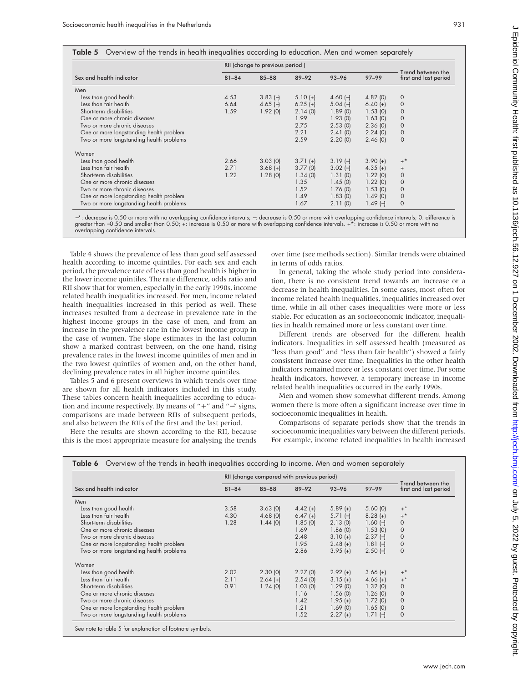|  | Table 5 Overview of the trends in health inequalities according to education. Men and women separately |  |  |  |  |
|--|--------------------------------------------------------------------------------------------------------|--|--|--|--|
|--|--------------------------------------------------------------------------------------------------------|--|--|--|--|

|                                          | RII (change to previous period) |            |            |            |            |                                            |
|------------------------------------------|---------------------------------|------------|------------|------------|------------|--------------------------------------------|
| Sex and health indicator                 | $81 - 84$                       | $85 - 88$  | $89 - 92$  | $93 - 96$  | $97 - 99$  | Trend between the<br>first and last period |
| Men                                      |                                 |            |            |            |            |                                            |
| Less than good health                    | 4.53                            | $3.83$ (-) | $5.10(+)$  | $4.60(-)$  | 4.82(0)    | $\circ$                                    |
| Less than fair health                    | 6.64                            | 4.65 $(-)$ | $6.25(+)$  | $5.04$ (-) | $6.40(+)$  | $\mathbf{O}$                               |
| Short-term disabilities                  | 1.59                            | 1.92(0)    | 2.14(0)    | 1.89(0)    | 1.53(0)    | $\circ$                                    |
| One or more chronic diseases             |                                 |            | 1.99       | 1.93(0)    | 1.63(0)    | $\mathbf{O}$                               |
| Two or more chronic diseases             |                                 |            | 2.75       | 2.53(0)    | 2.36(0)    | $\circ$                                    |
| One or more longstanding health problem  |                                 |            | 2.21       | 2.41(0)    | 2.24(0)    | $\mathbf 0$                                |
| Two or more longstanding health problems |                                 |            | 2.59       | 2.20(0)    | 2.46(0)    | $\circ$                                    |
| Women                                    |                                 |            |            |            |            |                                            |
| Less than good health                    | 2.66                            | 3.03(0)    | $3.71 (+)$ | $3.19(-)$  | $3.90(+)$  | $+$ *                                      |
| Less than fair health                    | 2.71                            | $3.68(+)$  | 3.77(0)    | $3.02$ (-) | $4.35(+)$  | $\ddot{}$                                  |
| Short-term disabilities                  | 1.22                            | 1.28(0)    | 1.34(0)    | 1.31(0)    | 1.22(0)    | $\circ$                                    |
| One or more chronic diseases             |                                 |            | 1.35       | 1.45(0)    | 1.22(0)    | $\mathbf{O}$                               |
| Two or more chronic diseases             |                                 |            | 1.52       | 1.76(0)    | 1.53(0)    | $\circ$                                    |
| One or more longstanding health problem  |                                 |            | 1.49       | 1.83(0)    | 1.49(0)    | $\mathbf 0$                                |
| Two or more longstanding health problems |                                 |            | 1.67       | 2.11(0)    | $1.49$ (-) | $\mathbf 0$                                |

−\*: decrease is 0.50 or more with no overlapping confidence intervals; −: decrease is 0.50 or more with overlapping confidence intervals; 0: difference is greater than −0.50 and smaller than 0.50; +: increase is 0.50 or more with overlapping confidence intervals. +\*: increase is 0.50 or more with no overlapping confidence intervals.

Table 4 shows the prevalence of less than good self assessed health according to income quintiles. For each sex and each period, the prevalence rate of less than good health is higher in the lower income quintiles. The rate difference, odds ratio and RII show that for women, especially in the early 1990s, income related health inequalities increased. For men, income related health inequalities increased in this period as well. These increases resulted from a decrease in prevalence rate in the highest income groups in the case of men, and from an increase in the prevalence rate in the lowest income group in the case of women. The slope estimates in the last column show a marked contrast between, on the one hand, rising prevalence rates in the lowest income quintiles of men and in the two lowest quintiles of women and, on the other hand, declining prevalence rates in all higher income quintiles.

Tables 5 and 6 present overviews in which trends over time are shown for all health indicators included in this study. These tables concern health inequalities according to education and income respectively. By means of "+" and "−" signs, comparisons are made between RIIs of subsequent periods, and also between the RIIs of the first and the last period.

Here the results are shown according to the RII, because this is the most appropriate measure for analysing the trends

over time (see methods section). Similar trends were obtained in terms of odds ratios.

In general, taking the whole study period into consideration, there is no consistent trend towards an increase or a decrease in health inequalities. In some cases, most often for income related health inequalities, inequalities increased over time, while in all other cases inequalities were more or less stable. For education as an socioeconomic indicator, inequalities in health remained more or less constant over time.

Different trends are observed for the different health indicators. Inequalities in self assessed health (measured as "less than good" and "less than fair health") showed a fairly consistent increase over time. Inequalities in the other health indicators remained more or less constant over time. For some health indicators, however, a temporary increase in income related health inequalities occurred in the early 1990s.

Men and women show somewhat different trends. Among women there is more often a significant increase over time in socioeconomic inequalities in health.

Comparisons of separate periods show that the trends in socioeconomic inequalities vary between the different periods. For example, income related inequalities in health increased

|                                          | RII (change compared with previous period) |            |            |            |            |                                            |
|------------------------------------------|--------------------------------------------|------------|------------|------------|------------|--------------------------------------------|
| Sex and health indicator                 | $81 - 84$                                  | $85 - 88$  | $89 - 92$  | $93 - 96$  | $97 - 99$  | Trend between the<br>first and last period |
| Men                                      |                                            |            |            |            |            |                                            |
| Less than good health                    | 3.58                                       | 3.63(0)    | $4.42 (+)$ | $5.89(+)$  | 5.60(0)    | $+^*$                                      |
| Less than fair health                    | 4.30                                       | 4.68(0)    | $6.47 (+)$ | $5.71$ (-) | $8.28(+)$  | $+^*$                                      |
| Short-term disabilities                  | 1.28                                       | 1.44(0)    | 1.85(0)    | 2.13(0)    | $1.60(-)$  | $\circ$                                    |
| One or more chronic diseases             |                                            |            | 1.69       | 1.86(0)    | 1.53(0)    | $\circ$                                    |
| Two or more chronic diseases             |                                            |            | 2.48       | $3.10 (+)$ | $2.37$ (-) | $\circ$                                    |
| One or more longstanding health problem  |                                            |            | 1.95       | $2.48 (+)$ | $1.81(-)$  | 0                                          |
| Two or more longstanding health problems |                                            |            | 2.86       | $3.95(+)$  | $2.50$ (-) | $\circ$                                    |
| Women                                    |                                            |            |            |            |            |                                            |
| Less than good health                    | 2.02                                       | 2.30(0)    | 2.27(0)    | $2.92 (+)$ | $3.66 (+)$ | $+^*$                                      |
| Less than fair health                    | 2.11                                       | $2.64 (+)$ | 2.54(0)    | $3.15 (+)$ | $4.66(+)$  | $+^*$                                      |
| Short-term disabilities                  | 0.91                                       | 1.24(0)    | 1.03(0)    | 1.29(0)    | 1.32(0)    | $\circ$                                    |
| One or more chronic diseases             |                                            |            | 1.16       | 1.56(0)    | 1.26(0)    | $\circ$                                    |
| Two or more chronic diseases             |                                            |            | 1.42       | $1.95(+)$  | 1.72(0)    | $\mathbf 0$                                |
| One or more longstanding health problem  |                                            |            | 1.21       | 1.69(0)    | 1.65(0)    | $\circ$                                    |
| Two or more longstanding health problems |                                            |            | 1.52       | $2.27 (+)$ | $1.71(-)$  | $\mathbf 0$                                |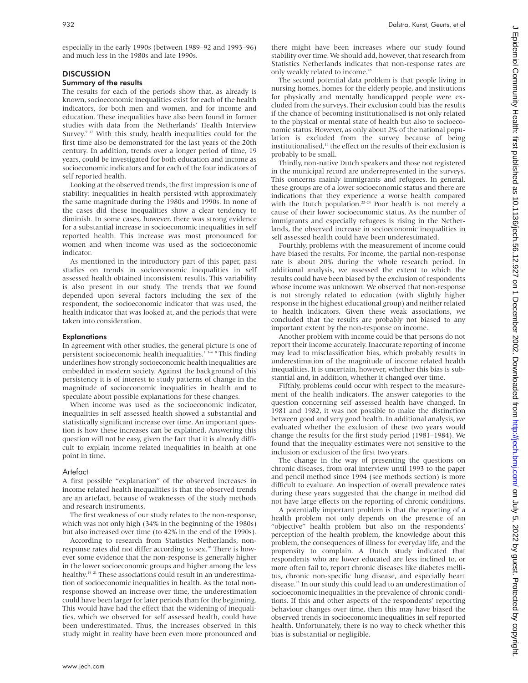especially in the early 1990s (between 1989–92 and 1993–96) and much less in the 1980s and late 1990s.

## **DISCUSSION**

#### Summary of the results

The results for each of the periods show that, as already is known, socioeconomic inequalities exist for each of the health indicators, for both men and women, and for income and education. These inequalities have also been found in former studies with data from the Netherlands' Health Interview Survey.<sup>9 17</sup> With this study, health inequalities could for the first time also be demonstrated for the last years of the 20th century. In addition, trends over a longer period of time, 19 years, could be investigated for both education and income as socioeconomic indicators and for each of the four indicators of self reported health.

Looking at the observed trends, the first impression is one of stability: inequalities in health persisted with approximately the same magnitude during the 1980s and 1990s. In none of the cases did these inequalities show a clear tendency to diminish. In some cases, however, there was strong evidence for a substantial increase in socioeconomic inequalities in self reported health. This increase was most pronounced for women and when income was used as the socioeconomic indicator.

As mentioned in the introductory part of this paper, past studies on trends in socioeconomic inequalities in self assessed health obtained inconsistent results. This variability is also present in our study. The trends that we found depended upon several factors including the sex of the respondent, the socioeconomic indicator that was used, the health indicator that was looked at, and the periods that were taken into consideration.

#### **Explanations**

In agreement with other studies, the general picture is one of persistent socioeconomic health inequalities.<sup>13-6</sup> <sup>8</sup> This finding underlines how strongly socioeconomic health inequalities are embedded in modern society. Against the background of this persistency it is of interest to study patterns of change in the magnitude of socioeconomic inequalities in health and to speculate about possible explanations for these changes.

When income was used as the socioeconomic indicator, inequalities in self assessed health showed a substantial and statistically significant increase over time. An important question is how these increases can be explained. Answering this question will not be easy, given the fact that it is already difficult to explain income related inequalities in health at one point in time.

#### Artefact

A first possible "explanation" of the observed increases in income related health inequalities is that the observed trends are an artefact, because of weaknesses of the study methods and research instruments.

The first weakness of our study relates to the non-response, which was not only high (34% in the beginning of the 1980s) but also increased over time (to 42% in the end of the 1990s).

According to research from Statistics Netherlands, nonresponse rates did not differ according to sex.<sup>18</sup> There is however some evidence that the non-response is generally higher in the lower socioeconomic groups and higher among the less healthy.<sup>19 21</sup> These associations could result in an underestimation of socioeconomic inequalities in health. As the total nonresponse showed an increase over time, the underestimation could have been larger for later periods than for the beginning. This would have had the effect that the widening of inequalities, which we observed for self assessed health, could have been underestimated. Thus, the increases observed in this study might in reality have been even more pronounced and

there might have been increases where our study found stability over time.We should add, however, that research from Statistics Netherlands indicates that non-response rates are only weakly related to income.<sup>18</sup>

The second potential data problem is that people living in nursing homes, homes for the elderly people, and institutions for physically and mentally handicapped people were excluded from the surveys. Their exclusion could bias the results if the chance of becoming institutionalised is not only related to the physical or mental state of health but also to socioeconomic status. However, as only about 2% of the national population is excluded from the survey because of being institutionalised,<sup>14</sup> the effect on the results of their exclusion is probably to be small.

Thirdly, non-native Dutch speakers and those not registered in the municipal record are underrepresented in the surveys. This concerns mainly immigrants and refugees. In general, these groups are of a lower socioeconomic status and there are indications that they experience a worse health compared with the Dutch population.<sup>22-24</sup> Poor health is not merely a cause of their lower socioeconomic status. As the number of immigrants and especially refugees is rising in the Netherlands, the observed increase in socioeconomic inequalities in self assessed health could have been underestimated.

Fourthly, problems with the measurement of income could have biased the results. For income, the partial non-response rate is about 20% during the whole research period. In additional analysis, we assessed the extent to which the results could have been biased by the exclusion of respondents whose income was unknown. We observed that non-response is not strongly related to education (with slightly higher response in the highest educational group) and neither related to health indicators. Given these weak associations, we concluded that the results are probably not biased to any important extent by the non-response on income.

Another problem with income could be that persons do not report their income accurately. Inaccurate reporting of income may lead to misclassification bias, which probably results in underestimation of the magnitude of income related health inequalities. It is uncertain, however, whether this bias is substantial and, in addition, whether it changed over time.

Fifthly, problems could occur with respect to the measurement of the health indicators. The answer categories to the question concerning self assessed health have changed. In 1981 and 1982, it was not possible to make the distinction between good and very good health. In additional analysis, we evaluated whether the exclusion of these two years would change the results for the first study period (1981–1984). We found that the inequality estimates were not sensitive to the inclusion or exclusion of the first two years.

The change in the way of presenting the questions on chronic diseases, from oral interview until 1993 to the paper and pencil method since 1994 (see methods section) is more difficult to evaluate. An inspection of overall prevalence rates during these years suggested that the change in method did not have large effects on the reporting of chronic conditions.

A potentially important problem is that the reporting of a health problem not only depends on the presence of an "objective" health problem but also on the respondents' perception of the health problem, the knowledge about this problem, the consequences of illness for everyday life, and the propensity to complain. A Dutch study indicated that respondents who are lower educated are less inclined to, or more often fail to, report chronic diseases like diabetes mellitus, chronic non-specific lung disease, and especially heart disease.<sup>25</sup> In our study this could lead to an underestimation of socioeconomic inequalities in the prevalence of chronic conditions. If this and other aspects of the respondents' reporting behaviour changes over time, then this may have biased the observed trends in socioeconomic inequalities in self reported health. Unfortunately, there is no way to check whether this bias is substantial or negligible.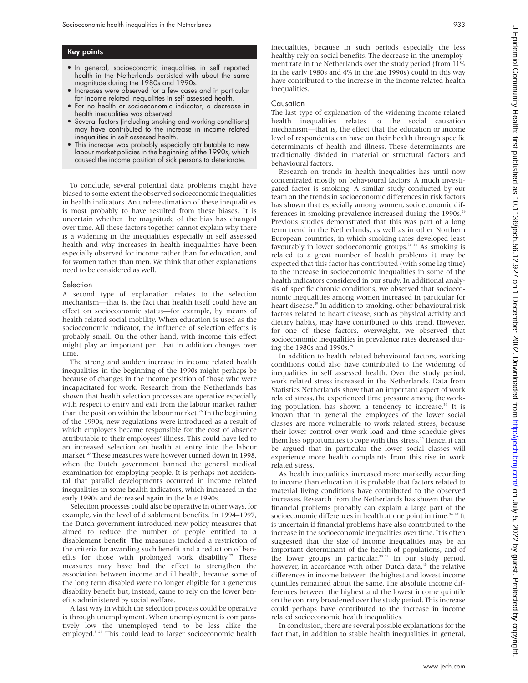### Key points

- In general, socioeconomic inequalities in self reported health in the Netherlands persisted with about the same magnitude during the 1980s and 1990s.
- Increases were observed for a few cases and in particular for income related inequalities in self assessed health.
- For no health or socioeconomic indicator, a decrease in health inequalities was observed.
- Several factors (including smoking and working conditions) may have contributed to the increase in income related inequalities in self assessed health.
- This increase was probably especially attributable to new labour market policies in the beginning of the 1990s, which caused the income position of sick persons to deteriorate.

To conclude, several potential data problems might have biased to some extent the observed socioeconomic inequalities in health indicators. An underestimation of these inequalities is most probably to have resulted from these biases. It is uncertain whether the magnitude of the bias has changed over time. All these factors together cannot explain why there is a widening in the inequalities especially in self assessed health and why increases in health inequalities have been especially observed for income rather than for education, and for women rather than men. We think that other explanations need to be considered as well.

#### Selection

A second type of explanation relates to the selection mechanism—that is, the fact that health itself could have an effect on socioeconomic status—for example, by means of health related social mobility. When education is used as the socioeconomic indicator, the influence of selection effects is probably small. On the other hand, with income this effect might play an important part that in addition changes over time.

The strong and sudden increase in income related health inequalities in the beginning of the 1990s might perhaps be because of changes in the income position of those who were incapacitated for work. Research from the Netherlands has shown that health selection processes are operative especially with respect to entry and exit from the labour market rather than the position within the labour market.<sup>26</sup> In the beginning of the 1990s, new regulations were introduced as a result of which employers became responsible for the cost of absence attributable to their employees' illness. This could have led to an increased selection on health at entry into the labour market.<sup>27</sup> These measures were however turned down in 1998, when the Dutch government banned the general medical examination for employing people. It is perhaps not accidental that parallel developments occurred in income related inequalities in some health indicators, which increased in the early 1990s and decreased again in the late 1990s.

Selection processes could also be operative in other ways, for example, via the level of disablement benefits. In 1994–1997, the Dutch government introduced new policy measures that aimed to reduce the number of people entitled to a disablement benefit. The measures included a restriction of the criteria for awarding such benefit and a reduction of benefits for those with prolonged work disability.<sup>27</sup> These measures may have had the effect to strengthen the association between income and ill health, because some of the long term disabled were no longer eligible for a generous disability benefit but, instead, came to rely on the lower benefits administered by social welfare.

A last way in which the selection process could be operative is through unemployment. When unemployment is comparatively low the unemployed tend to be less alike the employed.<sup>5 28</sup> This could lead to larger socioeconomic health inequalities, because in such periods especially the less healthy rely on social benefits. The decrease in the unemployment rate in the Netherlands over the study period (from 11% in the early 1980s and 4% in the late 1990s) could in this way have contributed to the increase in the income related health inequalities.

#### Causation

The last type of explanation of the widening income related health inequalities relates to the social causation mechanism—that is, the effect that the education or income level of respondents can have on their health through specific determinants of health and illness. These determinants are traditionally divided in material or structural factors and behavioural factors.

Research on trends in health inequalities has until now concentrated mostly on behavioural factors. A much investigated factor is smoking. A similar study conducted by our team on the trends in socioeconomic differences in risk factors has shown that especially among women, socioeconomic differences in smoking prevalence increased during the 1990s.<sup>29</sup> Previous studies demonstrated that this was part of a long term trend in the Netherlands, as well as in other Northern European countries, in which smoking rates developed least favourably in lower socioeconomic groups.<sup>30-33</sup> As smoking is related to a great number of health problems it may be expected that this factor has contributed (with some lag time) to the increase in socioeconomic inequalities in some of the health indicators considered in our study. In additional analysis of specific chronic conditions, we observed that socioeconomic inequalities among women increased in particular for heart disease.<sup>29</sup> In addition to smoking, other behavioural risk factors related to heart disease, such as physical activity and dietary habits, may have contributed to this trend. However, for one of these factors, overweight, we observed that socioeconomic inequalities in prevalence rates decreased during the 1980s and 1990s. $^{29}$ 

In addition to health related behavioural factors, working conditions could also have contributed to the widening of inequalities in self assessed health. Over the study period, work related stress increased in the Netherlands. Data from Statistics Netherlands show that an important aspect of work related stress, the experienced time pressure among the working population, has shown a tendency to increase. $34$  It is known that in general the employees of the lower social classes are more vulnerable to work related stress, because their lower control over work load and time schedule gives them less opportunities to cope with this stress.<sup>35</sup> Hence, it can be argued that in particular the lower social classes will experience more health complaints from this rise in work related stress.

As health inequalities increased more markedly according to income than education it is probable that factors related to material living conditions have contributed to the observed increases. Research from the Netherlands has shown that the financial problems probably can explain a large part of the socioeconomic differences in health at one point in time.<sup>36 37</sup> It is uncertain if financial problems have also contributed to the increase in the socioeconomic inequalities over time. It is often suggested that the size of income inequalities may be an important determinant of the health of populations, and of the lower groups in particular.<sup>38 39</sup> In our study period, however, in accordance with other Dutch data,<sup>40</sup> the relative differences in income between the highest and lowest income quintiles remained about the same. The absolute income differences between the highest and the lowest income quintile on the contrary broadened over the study period. This increase could perhaps have contributed to the increase in income related socioeconomic health inequalities.

In conclusion, there are several possible explanations for the fact that, in addition to stable health inequalities in general,